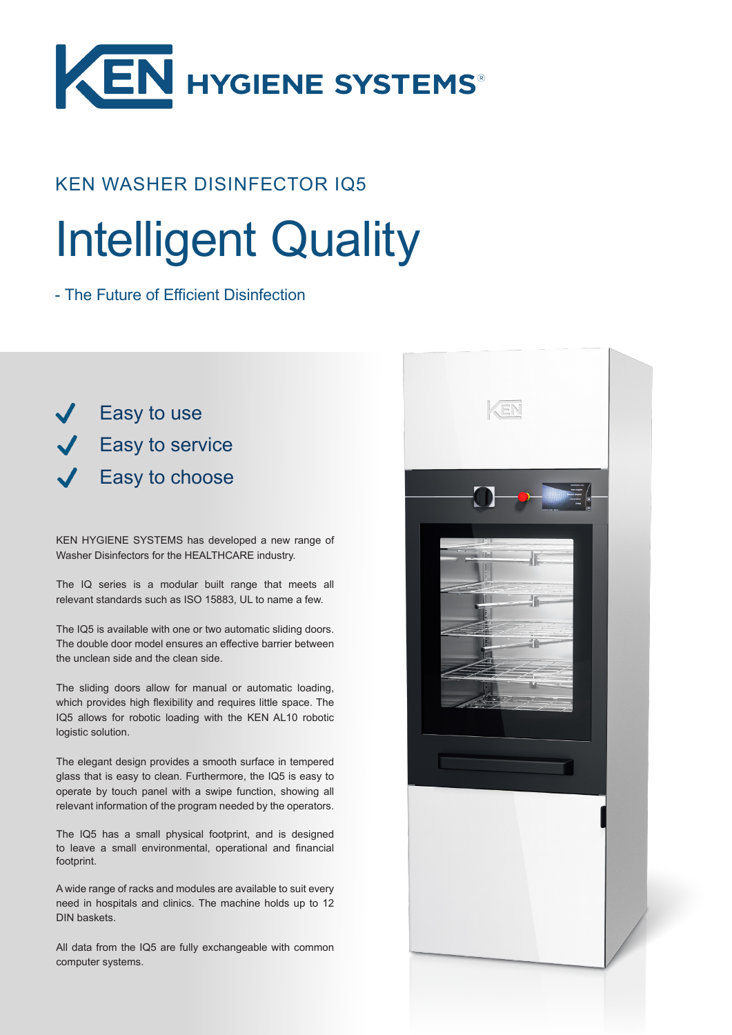

## KEN WASHER DISINFECTOR IQ5

# Intelligent Quality

- The Future of Efficient Disinfection

**Easy to use Easy to service** Easy to choose

KEN HYGIENE SYSTEMS has developed a new range of Washer Disinfectors for the HEALTHCARE industry.

The IQ series is a modular built range that meets all relevant standards such as ISO 15883, UL to name a few.

The IQ5 is available with one or two automatic sliding doors. The double door model ensures an effective barrier between the unclean side and the clean side.

The sliding doors allow for manual or automatic loading, which provides high flexibility and requires little space. The IQ5 allows for robotic loading with the KEN AL10 robotic logistic solution.

The elegant design provides a smooth surface in tempered glass that is easy to clean. Furthermore, the IQ5 is easy to operate by touch panel with a swipe function, showing all relevant information of the program needed by the operators.

The IQ5 has a small physical footprint, and is designed to leave a small environmental, operational and financial footprint.

A wide range of racks and modules are available to suit every need in hospitals and clinics. The machine holds up to 12 DIN baskets.

All data from the IQ5 are fully exchangeable with common computer systems.